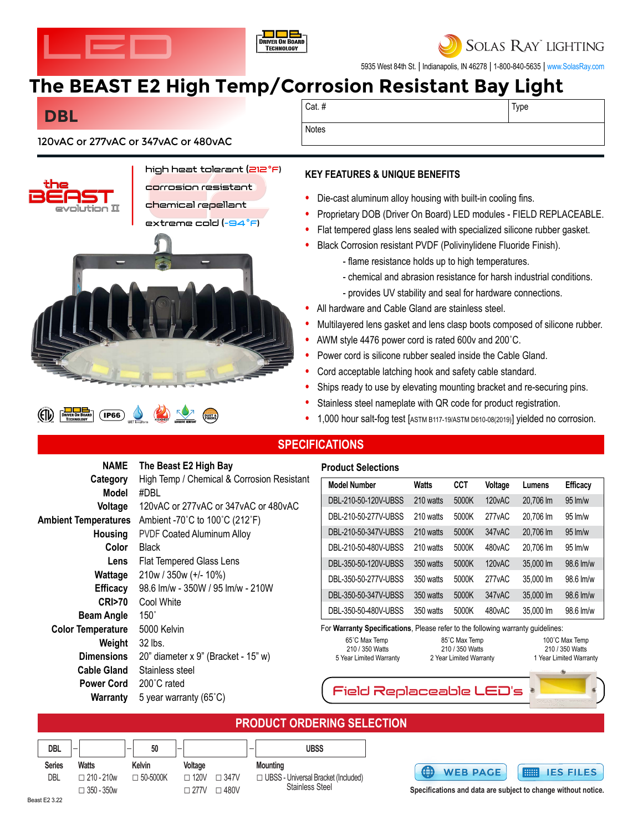

**SOLAS RAY LIGHTING** 

5935 West 84th St. | Indianapolis, IN 46278 | 1-800-840-5635 | [www.SolasRay.com](https://www.solasray.com/)

## **[The BEAST E2 High Temp](https://www.solasray.com/product-catalog/bay-lighting/the-beast-e2-high-heat-high-bay/)/Corrosion Resistant Bay Light**

### **DBL**

Cat. # Type

**Notes** 

#### 120vAC or 277vAC or 347vAC or 480vAC



## **KEY FEATURES & UNIQUE BENEFITS**

- Die-cast aluminum alloy housing with built-in cooling fins.
- Proprietary DOB (Driver On Board) LED modules FIELD REPLACEABLE.
- Flat tempered glass lens sealed with specialized silicone rubber gasket.
- Black Corrosion resistant PVDF (Polivinylidene Fluoride Finish).
	- flame resistance holds up to high temperatures.
	- chemical and abrasion resistance for harsh industrial conditions.
	- provides UV stability and seal for hardware connections.
- All hardware and Cable Gland are stainless steel.
- Multilayered lens gasket and lens clasp boots composed of silicone rubber.
- AWM style 4476 power cord is rated 600v and 200˚C.
- Power cord is silicone rubber sealed inside the Cable Gland.
- Cord acceptable latching hook and safety cable standard.
- Ships ready to use by elevating mounting bracket and re-securing pins.
- Stainless steel nameplate with QR code for product registration.
- 1,000 hour salt-fog test [ASTM B117-19/ASTM D610-08(2019)] yielded no corrosion.

#### **SPECIFICATIONS**

| <b>NAME</b>                       | The Beast E2 High Bay                                                                          | <b>Product Selections</b>        |                                                                                                                             |            |         |           |                         |  |  |  |
|-----------------------------------|------------------------------------------------------------------------------------------------|----------------------------------|-----------------------------------------------------------------------------------------------------------------------------|------------|---------|-----------|-------------------------|--|--|--|
| Category                          | High Temp / Chemical & Corrosion Resistant                                                     | <b>Model Number</b>              | Watts                                                                                                                       | <b>CCT</b> | Voltage | Lumens    | <b>Efficacy</b>         |  |  |  |
| Model                             | #DBL                                                                                           | DBL-210-50-120V-UBSS             | 210 watts                                                                                                                   | 5000K      | 120vAC  | 20,706 lm | $95 \,$ lm/w            |  |  |  |
| Voltage                           | 120vAC or 277vAC or 347vAC or 480vAC                                                           |                                  |                                                                                                                             |            |         |           |                         |  |  |  |
| <b>Ambient Temperatures</b>       | Ambient -70°C to 100°C (212°F)                                                                 | DBL-210-50-277V-UBSS             | 210 watts                                                                                                                   | 5000K      | 277yAC  | 20,706 lm | 95 lm/w                 |  |  |  |
| Housing                           | <b>PVDF Coated Aluminum Alloy</b>                                                              | DBL-210-50-347V-UBSS             | 210 watts                                                                                                                   | 5000K      | 347yAC  | 20,706 lm | 95 lm/w                 |  |  |  |
| Color                             | <b>Black</b>                                                                                   | DBL-210-50-480V-UBSS             | 210 watts                                                                                                                   | 5000K      | 480vAC  | 20,706 lm | 95 lm/w                 |  |  |  |
| Lens                              | Flat Tempered Glass Lens                                                                       | DBL-350-50-120V-UBSS             | 350 watts                                                                                                                   | 5000K      | 120vAC  | 35,000 lm | 98.6 lm/w               |  |  |  |
| Wattage                           | 210w / 350w (+/- 10%)                                                                          | DBL-350-50-277V-UBSS             | 350 watts                                                                                                                   | 5000K      | 277vAC  | 35,000 lm | 98.6 lm/w               |  |  |  |
| <b>Efficacy</b>                   | 98.6 lm/w - 350W / 95 lm/w - 210W                                                              | DBL-350-50-347V-UBSS             | 350 watts                                                                                                                   | 5000K      | 347vAC  | 35,000 lm | 98.6 lm/w               |  |  |  |
| <b>CRI&gt;70</b>                  | Cool White                                                                                     | DBL-350-50-480V-UBSS             | 350 watts                                                                                                                   | 5000K      | 480vAC  | 35,000 lm | 98.6 lm/w               |  |  |  |
| <b>Beam Angle</b>                 | $150^\circ$                                                                                    |                                  |                                                                                                                             |            |         |           |                         |  |  |  |
| <b>Color Temperature</b>          | For Warranty Specifications, Please refer to the following warranty guidelines:<br>5000 Kelvin |                                  |                                                                                                                             |            |         |           |                         |  |  |  |
| Weight                            | 32 lbs.                                                                                        | 65°C Max Temp<br>210 / 350 Watts | 85°C Max Temp<br>100°C Max Temp<br>210 / 350 Watts<br>210 / 350 Watts<br>2 Year Limited Warranty<br>1 Year Limited Warranty |            |         |           |                         |  |  |  |
| <b>Dimensions</b>                 | 20" diameter x 9" (Bracket - 15" w)                                                            | 5 Year Limited Warranty          |                                                                                                                             |            |         |           |                         |  |  |  |
| <b>Cable Gland</b>                | Stainless steel                                                                                |                                  |                                                                                                                             |            |         |           |                         |  |  |  |
| <b>Power Cord</b>                 | 200°C rated                                                                                    |                                  |                                                                                                                             |            |         |           | $\overline{\mathbf{a}}$ |  |  |  |
| Warranty                          | 5 year warranty $(65^{\circ}C)$                                                                | Field Replaceable LED's          |                                                                                                                             |            |         |           |                         |  |  |  |
| <b>PRODUCT ORDERING SELECTION</b> |                                                                                                |                                  |                                                                                                                             |            |         |           |                         |  |  |  |
|                                   |                                                                                                |                                  |                                                                                                                             |            |         |           |                         |  |  |  |

| <b>DBL</b>    | $\sim$            | 50<br>$\overline{\phantom{a}}$ | $\sim$      |             | <b>UBSS</b><br>$\overline{\phantom{a}}$ |
|---------------|-------------------|--------------------------------|-------------|-------------|-----------------------------------------|
| <b>Series</b> | <b>Watts</b>      | <b>Kelvin</b>                  | Voltage     |             | Mounting                                |
| DBL           | $\Box$ 210 - 210w | $\Box$ 50-5000K                | $\Box$ 120V | $\Box$ 347V | □ UBSS - Universal Bracket (Included)   |
|               | $\Box$ 350 - 350w |                                | $\Box$ 277V | . 480V<br>П | <b>Stainless Steel</b>                  |



**Specifications and data are subject to change without notice.** [WEB PAGE](https://www.solasray.com/product-catalog/bay-lighting/the-beast-e2-high-heat-high-bay/) | **ELL** [IES FILES](https://www.solasray.com/wp-content/uploads/2021/10/Solas-Ray-Beast-E2-IES-Files.zip)